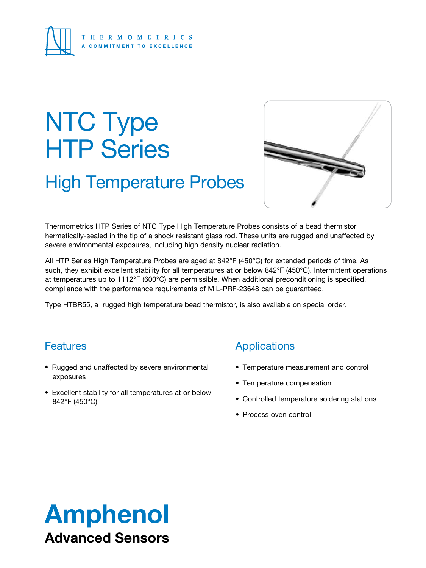

# NTC Type HTP Series

# High Temperature Probes



Thermometrics HTP Series of NTC Type High Temperature Probes consists of a bead thermistor hermetically-sealed in the tip of a shock resistant glass rod. These units are rugged and unaffected by severe environmental exposures, including high density nuclear radiation.

All HTP Series High Temperature Probes are aged at 842°F (450°C) for extended periods of time. As such, they exhibit excellent stability for all temperatures at or below 842°F (450°C). Intermittent operations at temperatures up to 1112°F (600°C) are permissible. When additional preconditioning is specified, compliance with the performance requirements of MIL-PRF-23648 can be guaranteed.

Type HTBR55, a rugged high temperature bead thermistor, is also available on special order.

## **Features**

- Rugged and unaffected by severe environmental exposures
- Excellent stability for all temperatures at or below 842°F (450°C)

## Applications

- Temperature measurement and control
- Temperature compensation
- Controlled temperature soldering stations
- Process oven control

# Amphenol Advanced Sensors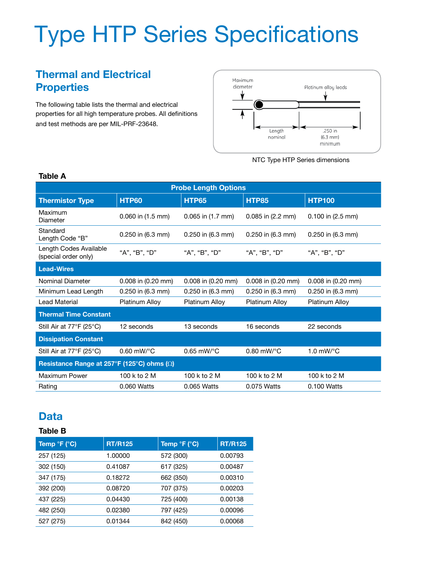# Type HTP Series Specifications

# **Thermal and Electrical Properties**

The following table lists the thermal and electrical properties for all high temperature probes. All definitions and test methods are per MIL-PRF-23648.



NTC Type HTP Series dimensions

| <b>Probe Length Options</b>                       |                        |                                                |                        |                         |  |  |  |  |  |
|---------------------------------------------------|------------------------|------------------------------------------------|------------------------|-------------------------|--|--|--|--|--|
| <b>Thermistor Type</b>                            | HTP60                  | <b>HTP65</b>                                   | <b>HTP85</b>           | <b>HTP100</b>           |  |  |  |  |  |
| Maximum<br>Diameter                               | $0.060$ in $(1.5$ mm)  | $0.065$ in $(1.7$ mm)<br>$0.085$ in $(2.2$ mm) |                        | $0.100$ in $(2.5$ mm)   |  |  |  |  |  |
| Standard<br>Length Code "B"                       | $0.250$ in (6.3 mm)    | $0.250$ in (6.3 mm)<br>$0.250$ in (6.3 mm)     |                        | $0.250$ in (6.3 mm)     |  |  |  |  |  |
| Length Codes Available<br>(special order only)    | "A", "B", "D"          | "A", "B", "D"<br>"A", "B", "D"                 |                        | "A", "B", "D"           |  |  |  |  |  |
| <b>Lead-Wires</b>                                 |                        |                                                |                        |                         |  |  |  |  |  |
| <b>Nominal Diameter</b>                           | 0.008 in (0.20 mm)     | $0.008$ in $(0.20$ mm)                         | 0.008 in (0.20 mm)     | 0.008 in (0.20 mm)      |  |  |  |  |  |
| Minimum Lead Length                               | 0.250 in (6.3 mm)      | 0.250 in (6.3 mm)                              | 0.250 in (6.3 mm)      | 0.250 in (6.3 mm)       |  |  |  |  |  |
| Lead Material                                     | Platinum Alloy         | Platinum Alloy                                 | Platinum Alloy         | Platinum Alloy          |  |  |  |  |  |
| <b>Thermal Time Constant</b>                      |                        |                                                |                        |                         |  |  |  |  |  |
| Still Air at 77°F (25°C)<br>12 seconds            |                        | 13 seconds<br>16 seconds                       |                        | 22 seconds              |  |  |  |  |  |
| <b>Dissipation Constant</b>                       |                        |                                                |                        |                         |  |  |  |  |  |
| Still Air at 77°F (25°C)                          | $0.60$ mW/ $\degree$ C | $0.65$ mW/ $\degree$ C                         | $0.80$ mW/ $\degree$ C | 1.0 $mW$ <sup>o</sup> C |  |  |  |  |  |
| Resistance Range at 257°F (125°C) ohms $(\Omega)$ |                        |                                                |                        |                         |  |  |  |  |  |
| Maximum Power                                     | 100 k to 2 M           | 100 k to 2 M                                   | 100 k to 2 M           | 100 k to 2 M            |  |  |  |  |  |
| Rating                                            | 0.060 Watts            | 0.065 Watts                                    | 0.075 Watts            | 0.100 Watts             |  |  |  |  |  |

#### **Table A**

### **Data**

#### **Table B**

| Temp °F (°C) | <b>RT/R125</b> | Temp °F (°C) | <b>RT/R125</b> |
|--------------|----------------|--------------|----------------|
| 257 (125)    | 1.00000        | 572 (300)    | 0.00793        |
| 302 (150)    | 0.41087        | 617 (325)    | 0.00487        |
| 347 (175)    | 0.18272        | 662 (350)    | 0.00310        |
| 392 (200)    | 0.08720        | 707 (375)    | 0.00203        |
| 437 (225)    | 0.04430        | 725 (400)    | 0.00138        |
| 482 (250)    | 0.02380        | 797 (425)    | 0.00096        |
| 527 (275)    | 0.01344        | 842 (450)    | 0.00068        |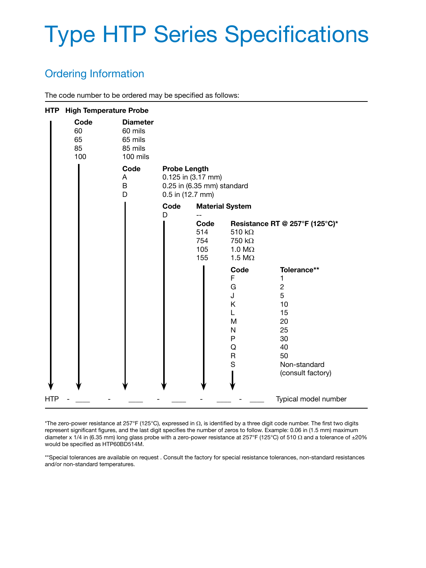# Type HTP Series Specifications

## Ordering Information

The code number to be ordered may be specified as follows:

| <b>HTP</b> | <b>High Temperature Probe</b> |                                                              |                                         |                                                  |                                                                                                                                                                          |                                                                                                                                                          |
|------------|-------------------------------|--------------------------------------------------------------|-----------------------------------------|--------------------------------------------------|--------------------------------------------------------------------------------------------------------------------------------------------------------------------------|----------------------------------------------------------------------------------------------------------------------------------------------------------|
|            | Code<br>60<br>65<br>85<br>100 | <b>Diameter</b><br>60 mils<br>65 mils<br>85 mils<br>100 mils |                                         |                                                  |                                                                                                                                                                          |                                                                                                                                                          |
|            |                               | Code<br>A<br>B<br>D                                          | <b>Probe Length</b><br>0.5 in (12.7 mm) | 0.125 in (3.17 mm)<br>0.25 in (6.35 mm) standard |                                                                                                                                                                          |                                                                                                                                                          |
|            |                               |                                                              | Code<br>D                               | Code<br>514<br>754<br>105<br>155                 | <b>Material System</b><br>510 $k\Omega$<br>750 kΩ<br>1.0 $M\Omega$<br>1.5 $M\Omega$<br>Code<br>F<br>G<br>J<br>K<br>L<br>M<br>$\mathsf{N}$<br>P<br>Q<br>$\mathsf{R}$<br>S | Resistance RT @ 257°F (125°C)*<br>Tolerance**<br>1<br>$\overline{c}$<br>5<br>10<br>15<br>20<br>25<br>30<br>40<br>50<br>Non-standard<br>(consult factory) |
| HTP        |                               |                                                              |                                         |                                                  |                                                                                                                                                                          | Typical model number                                                                                                                                     |

\*The zero-power resistance at 257°F (125°C), expressed in  $\Omega$ , is identified by a three digit code number. The first two digits represent significant figures, and the last digit specifies the number of zeros to follow. Example: 0.06 in (1.5 mm) maximum diameter x 1/4 in (6.35 mm) long glass probe with a zero-power resistance at 257°F (125°C) of 510 Ω and a tolerance of ±20% would be specified as HTP60BD514M.

\*\*Special tolerances are available on request . Consult the factory for special resistance tolerances, non-standard resistances and/or non-standard temperatures.